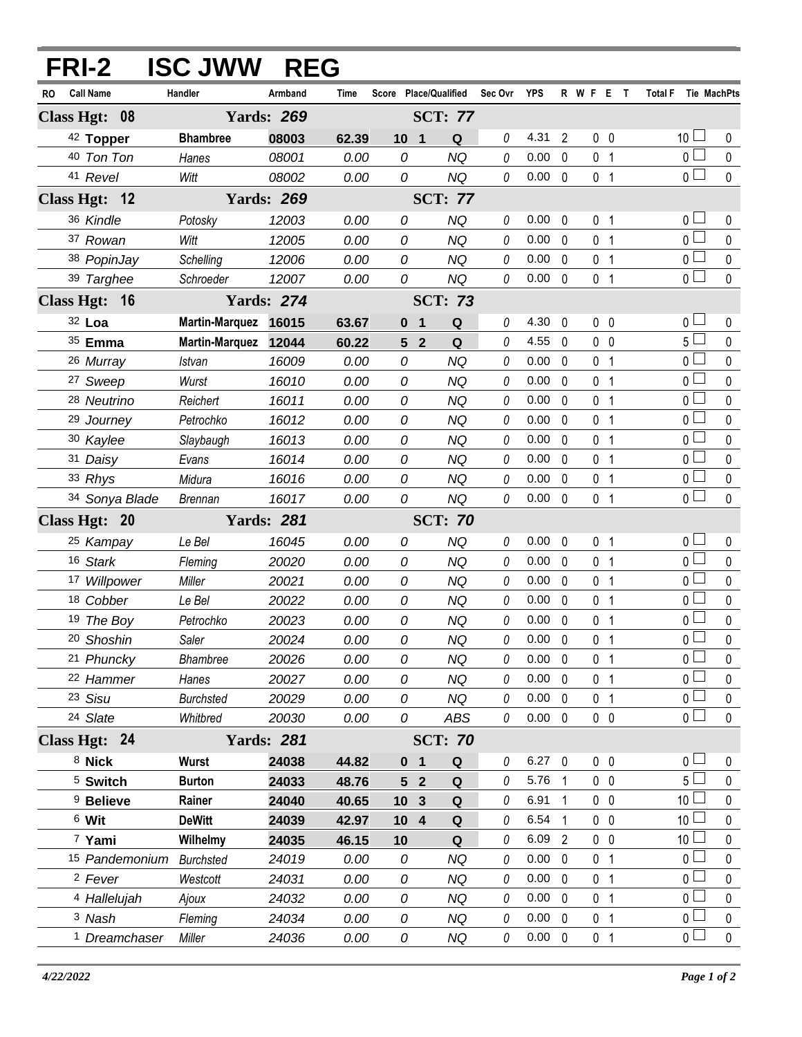|               | FRI-2                    | <b>ISC JWW</b>        | <b>REG</b>        |       |                                  |                |          |                |                |                     |                               |              |
|---------------|--------------------------|-----------------------|-------------------|-------|----------------------------------|----------------|----------|----------------|----------------|---------------------|-------------------------------|--------------|
| RO            | <b>Call Name</b>         | Handler               | Armband           | Time  | Score Place/Qualified            |                | Sec Ovr  | <b>YPS</b>     |                | R W F E T           | <b>Total F</b><br>Tie MachPts |              |
| Class Hgt: 08 |                          |                       | <b>Yards: 269</b> |       |                                  | <b>SCT: 77</b> |          |                |                |                     |                               |              |
|               | 42 Topper                | <b>Bhambree</b>       | 08003             | 62.39 | 10 <sub>1</sub>                  | Q              | 0        | 4.31           | $\overline{2}$ | 0 <sub>0</sub>      | 10 <sup>1</sup>               | $\mathbf 0$  |
|               | 40 Ton Ton               | Hanes                 | 08001             | 0.00  | 0                                | <b>NQ</b>      | 0        | 0.00           | $\mathbf 0$    | 0 <sub>1</sub>      | 0 <sup>1</sup>                | 0            |
|               | 41 Revel                 | Witt                  | 08002             | 0.00  | 0                                | <b>NQ</b>      | 0        | 0.00           | $\mathbf 0$    | 0 <sub>1</sub>      | 0 <sup>1</sup>                | 0            |
|               | Class Hgt: 12            |                       | <b>Yards: 269</b> |       |                                  | <b>SCT: 77</b> |          |                |                |                     |                               |              |
|               | 36 Kindle                | Potosky               | 12003             | 0.00  | 0                                | <b>NQ</b>      | 0        | 0.00           | 0              | 0 <sub>1</sub>      | 0 <sub>0</sub>                | 0            |
|               | 37 Rowan                 | Witt                  | 12005             | 0.00  | 0                                | <b>NQ</b>      | 0        | 0.00           | $\Omega$       | 0 <sub>1</sub>      | 0 <sup>1</sup>                | $\mathbf 0$  |
|               | 38 PopinJay              | Schelling             | 12006             | 0.00  | 0                                | <b>NQ</b>      | 0        | 0.00           | $\mathbf{0}$   | 0<br>$\overline{1}$ | $\overline{0}$                | $\pmb{0}$    |
|               | 39 Targhee               | Schroeder             | 12007             | 0.00  | 0                                | <b>NQ</b>      | 0        | $0.00 \quad 0$ |                | 0 <sub>1</sub>      | 0 <sub>0</sub>                | $\mathbf{0}$ |
| Class Hgt: 16 |                          |                       | <b>Yards: 274</b> |       |                                  | <b>SCT: 73</b> |          |                |                |                     |                               |              |
|               | 32 Loa                   | <b>Martin-Marquez</b> | 16015             | 63.67 | 0<br>$\mathbf 1$                 | Q              | 0        | 4.30           | 0              | 0 <sub>0</sub>      | 0 <sub>0</sub>                | 0            |
|               | 35 Emma                  | <b>Martin-Marquez</b> | 12044             | 60.22 | $\overline{2}$<br>5 <sup>5</sup> | Q              | 0        | 4.55           | $\mathbf{0}$   | 0 <sub>0</sub>      | $5+$                          | $\mathbf 0$  |
|               | 26 Murray                | Istvan                | 16009             | 0.00  | 0                                | <b>NQ</b>      | 0        | 0.00           | $\Omega$       | $\overline{1}$<br>0 | 0 <sup>1</sup>                | 0            |
|               | <sup>27</sup> Sweep      | Wurst                 | 16010             | 0.00  | 0                                | <b>NQ</b>      | 0        | 0.00           | $\Omega$       | 0<br>$\overline{1}$ | $\overline{0}$                | 0            |
|               | <sup>28</sup> Neutrino   | Reichert              | 16011             | 0.00  | 0                                | <b>NQ</b>      | 0        | 0.00           | $\mathbf 0$    | $\overline{1}$<br>0 | $0-$                          | $\mathbf 0$  |
|               | 29 Journey               | Petrochko             | 16012             | 0.00  | 0                                | <b>NQ</b>      | 0        | 0.00           | $\mathbf{0}$   | 0<br>$\overline{1}$ | 0 L                           | $\mathbf{0}$ |
|               | 30 Kaylee                | Slaybaugh             | 16013             | 0.00  | 0                                | NQ             | 0        | 0.00           | $\mathbf 0$    | $\overline{1}$<br>0 | $0-$                          | $\mathbf 0$  |
|               | 31 Daisy                 | Evans                 | 16014             | 0.00  | 0                                | <b>NQ</b>      | 0        | 0.00           | $\Omega$       | 0<br>$\mathbf{1}$   | $\overline{0}$                | $\mathbf 0$  |
|               | 33 Rhys                  | Midura                | 16016             | 0.00  | 0                                | NQ             | 0        | 0.00           | $\mathbf 0$    | 0<br>$\overline{1}$ | $\overline{0}$                | $\pmb{0}$    |
|               | 34 Sonya Blade           | Brennan               | 16017             | 0.00  | 0                                | <b>NQ</b>      | 0        | 0.00           | $\mathbf{0}$   | 0<br>$\overline{1}$ | $\overline{0}$                | $\mathbf{0}$ |
|               | Class Hgt: 20            |                       | <b>Yards: 281</b> |       |                                  | <b>SCT: 70</b> |          |                |                |                     |                               |              |
|               | 25 Kampay                | Le Bel                | 16045             | 0.00  | 0                                | <b>NQ</b>      | 0        | 0.00           | 0              | 0 <sub>1</sub>      | 0 <sub>1</sub>                | 0            |
|               | 16 Stark                 | Fleming               | 20020             | 0.00  | 0                                | <b>NQ</b>      | 0        | 0.00           | $\mathbf{0}$   | 0<br>$\overline{1}$ | 0 <sub>0</sub>                | $\mathbf 0$  |
|               | 17 Willpower             | Miller                | 20021             | 0.00  | 0                                | <b>NQ</b>      | 0        | 0.00           | $\Omega$       | $\overline{1}$<br>0 | $\overline{0}$                | $\pmb{0}$    |
|               | 18 Cobber                | Le Bel                | 20022             | 0.00  | 0                                | <b>NQ</b>      | 0        | 0.00           | $\Omega$       | $\mathbf{1}$<br>0   | 0 <sup>1</sup>                | $\pmb{0}$    |
|               | 19 The Boy               | Petrochko             | 20023             | 0.00  | 0                                | <b>NQ</b>      | 0        | 0.00           | $\mathbf 0$    | 0<br>$\overline{1}$ | $\overline{0}$                | $\mathbf 0$  |
|               | 20 Shoshin               | Saler                 | 20024             | 0.00  | 0                                | <b>NQ</b>      | 0        | $0.00 \quad 0$ |                | 0 <sub>1</sub>      | $0$ $\Box$                    | $\mathbf 0$  |
|               | 21 Phuncky               | Bhambree              | 20026             | 0.00  | 0                                | <b>NQ</b>      | 0        | $0.00 \quad 0$ |                | 0 <sub>1</sub>      | $\overline{0}$                | 0            |
|               | 22 Hammer                | Hanes                 | 20027             | 0.00  | 0                                | <b>NQ</b>      | 0        | 0.00           | $\mathbf 0$    | 0 <sub>1</sub>      | $0\perp$                      | 0            |
|               | 23 Sisu                  | <b>Burchsted</b>      | 20029             | 0.00  | 0                                | <b>NQ</b>      | 0        | 0.00           | $\mathbf 0$    | 0 <sub>1</sub>      | $\overline{0}$                | $\pmb{0}$    |
|               | 24 Slate                 | Whitbred              | 20030             | 0.00  | 0                                | ABS            | $\it{0}$ | $0.00 \quad 0$ |                | $0\quad 0$          | 0 <sub>0</sub>                | $\mathbf 0$  |
|               | Class Hgt: 24            |                       | <b>Yards: 281</b> |       |                                  | <b>SCT: 70</b> |          |                |                |                     |                               |              |
|               | 8 Nick                   | <b>Wurst</b>          | 24038             | 44.82 | 0 <sub>1</sub>                   | Q              | 0        | $6.27$ 0       |                | $0\quad 0$          | 0 <sub>0</sub>                | 0            |
|               | <sup>5</sup> Switch      | <b>Burton</b>         | 24033             | 48.76 | 5 <sub>2</sub>                   | Q              | 0        | 5.76           | $\overline{1}$ | $0\quad 0$          | 5 <sub>1</sub>                | 0            |
|               | <sup>9</sup> Believe     | Rainer                | 24040             | 40.65 | 10 <sup>3</sup>                  | Q              | 0        | 6.91           | 1              | $0\quad 0$          | 10 <sup>1</sup>               | 0            |
|               | 6 Wit                    | <b>DeWitt</b>         | 24039             | 42.97 | 10 <sub>4</sub>                  | Q              | 0        | 6.54           | $\mathbf{1}$   | 0 <sub>0</sub>      | 10 $\Box$                     | 0            |
|               | 7 Yami                   | Wilhelmy              | 24035             | 46.15 | 10                               | Q              | 0        | 6.09           | $\overline{2}$ | $0\quad 0$          | 10 <sup>1</sup>               | 0            |
|               | 15 Pandemonium Burchsted |                       | 24019             | 0.00  | 0                                | <b>NQ</b>      | 0        | 0.00           | $\Omega$       | 0 <sub>1</sub>      | 0 <sup>1</sup>                | 0            |
|               | <sup>2</sup> Fever       | Westcott              | 24031             | 0.00  | 0                                | <b>NQ</b>      | 0        | 0.00           | $\mathbf 0$    | 0 <sub>1</sub>      | 0 <sub>0</sub>                | $\mathbf 0$  |
|               | 4 Hallelujah             | Ajoux                 | 24032             | 0.00  | 0                                | <b>NQ</b>      | 0        | 0.00           | $\Omega$       | 0 <sub>1</sub>      | 0 <sup>1</sup>                | 0            |
|               | 3 Nash                   | Fleming               | 24034             | 0.00  | 0                                | <b>NQ</b>      | 0        | $0.00 \quad 0$ |                | 0 <sub>1</sub>      | 0 <sub>0</sub>                | $\pmb{0}$    |
|               | <sup>1</sup> Dreamchaser | Miller                | 24036             | 0.00  | 0                                | <b>NQ</b>      | 0        | $0.00 \quad 0$ |                | 0 <sub>1</sub>      | $\overline{0}$                | $\pmb{0}$    |